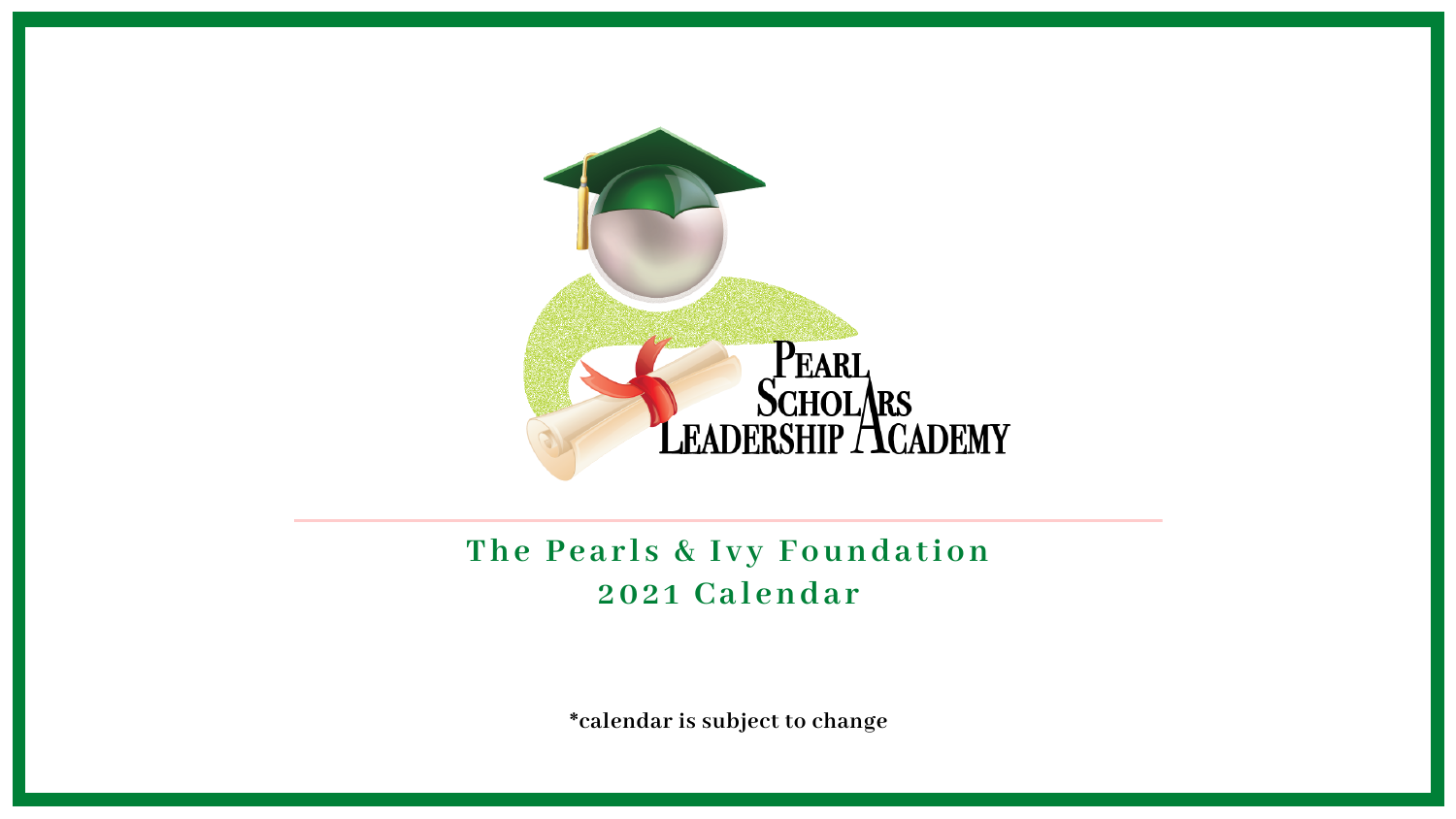

### **202 1 Ca l enda r The Pe a r l s & I v y Founda tion**

**\*calendar is subject to change**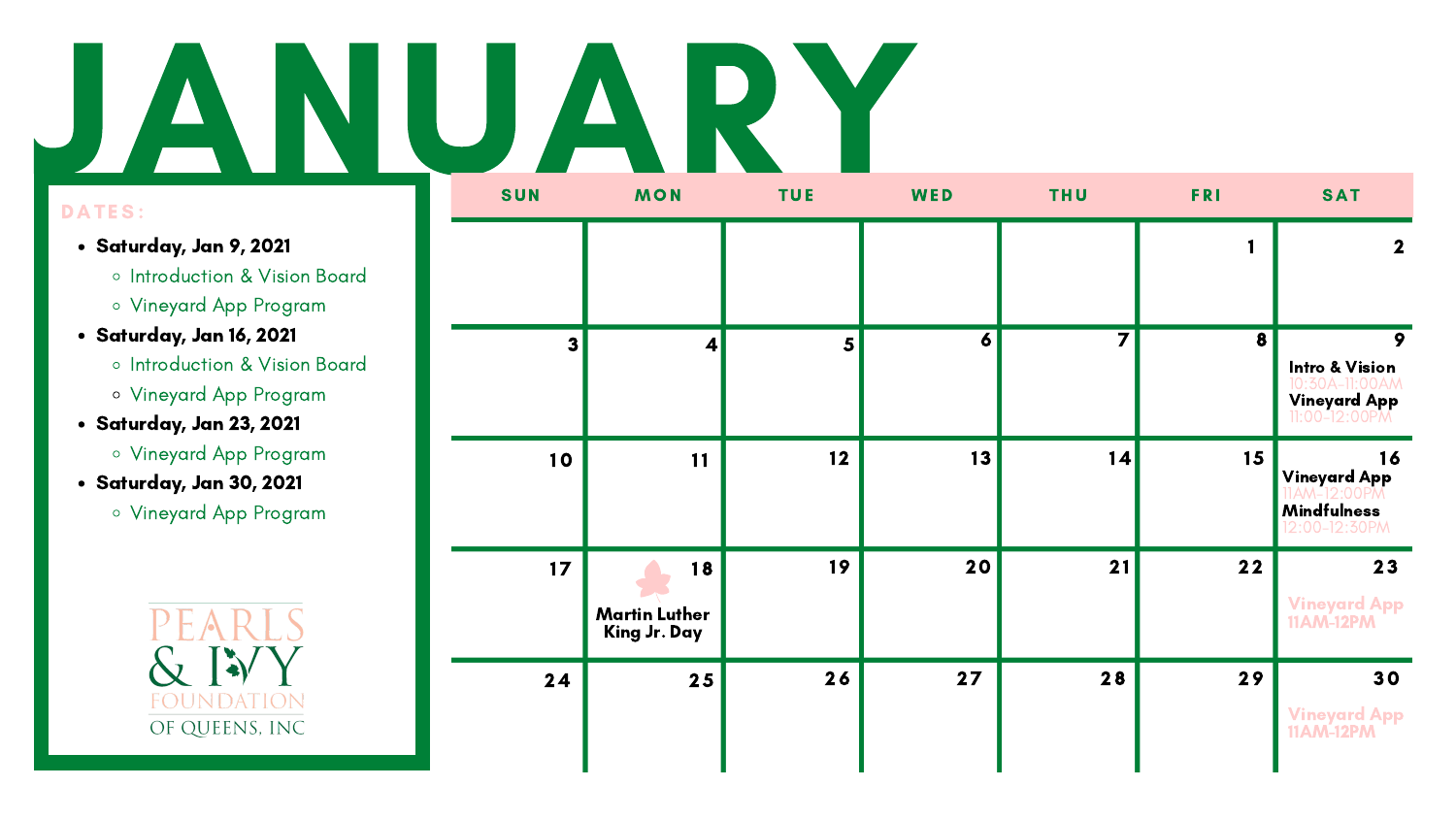### JANUARY

- Saturday, Jan 9, 2021
	- o Introduction & Vision Board
	- Vineyard App Program
- Saturday, Jan 16, 2021
	- o Introduction & Vision Board
	- Vineyard App Program
- Saturday, Jan 23, 2021
	- Vineyard App Program
- Saturday, Jan 30, 2021
	- Vineyard App Program



| SUN | <b>MON</b>                                 | <b>TUE</b>     | WED              | <b>THU</b>     |      | <b>SAT</b>                                                                        |
|-----|--------------------------------------------|----------------|------------------|----------------|------|-----------------------------------------------------------------------------------|
|     |                                            |                |                  |                |      | $\mathbf{2}$                                                                      |
| 3   | $\vert \mathbf{A} \vert$                   | $5\phantom{a}$ | $\boldsymbol{6}$ | $\overline{7}$ | 8    | 9<br><b>Intro &amp; Vision</b><br>10:30A-11:00AM<br>Vineyard App<br>11:00-12:00PM |
| 10  | 11                                         | 12             | 13               | 14             | 15   | 16<br><b>Vineyard App</b><br><b>Mindfulness</b><br>12:00-12:30PM                  |
| 17  | 18<br><b>Martin Luther</b><br>King Jr. Day | 19             | 20               | 21             | $22$ | 23<br><b>Vineyard App</b><br><b>11AM-12PM</b>                                     |
| 24  | 25                                         | 26             | 27               | 28             | 29   | 30<br><b>Vineyard App</b><br><b>11AM-12PM</b>                                     |

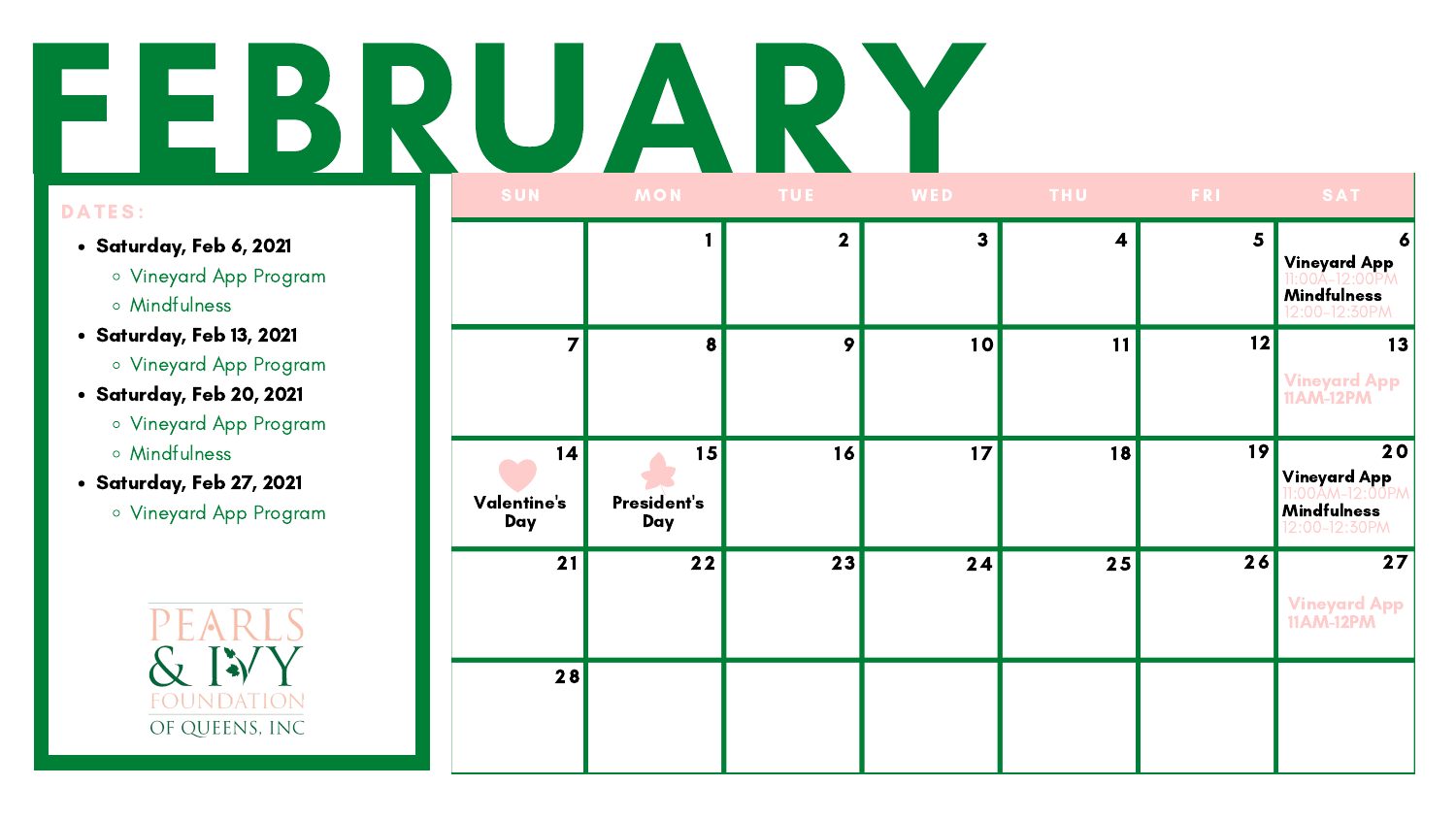# DATES:

|  |                          | SUN MON TUE WED          |    |              | <b>Example 20 THU Reserve FRI</b> |                | <b>SAT</b>                                                                     |  |
|--|--------------------------|--------------------------|----|--------------|-----------------------------------|----------------|--------------------------------------------------------------------------------|--|
|  |                          | $\overline{\mathbf{2}}$  |    | $\mathbf{3}$ | $\boldsymbol{4}$                  | $5\phantom{1}$ | $\boldsymbol{6}$<br><b>Vineyard App</b><br><b>Mindfulness</b><br>12:00-12:30PM |  |
|  |                          | $\vert 8 \vert$          | 9  | 10           | 11                                | 12             | 13<br><b>Vineyard App</b><br><b>11AM-12PM</b>                                  |  |
|  | 14<br>Valentine's<br>Day | 15<br>President's<br>Day | 16 | 17           | 18                                | 19             | 20<br><b>Vineyard App</b><br><b>Mindfulness</b><br>12:00-12:30PM               |  |
|  | 21                       | $22$                     | 23 | 24           | 25                                | 26             | 27<br><b>Vineyard App</b><br><b>11AM-12PM</b>                                  |  |
|  | 28                       |                          |    |              |                                   |                |                                                                                |  |

- Saturday, Feb 6, 2021
	- Vineyard App Program
	- Mindfulness
- Saturday, Feb 13, 2021
	- Vineyard App Program
- Saturday, Feb 20, 2021
	- Vineyard App Program
	- Mindfulness
- Saturday, Feb 27, 2021
	- Vineyard App Program

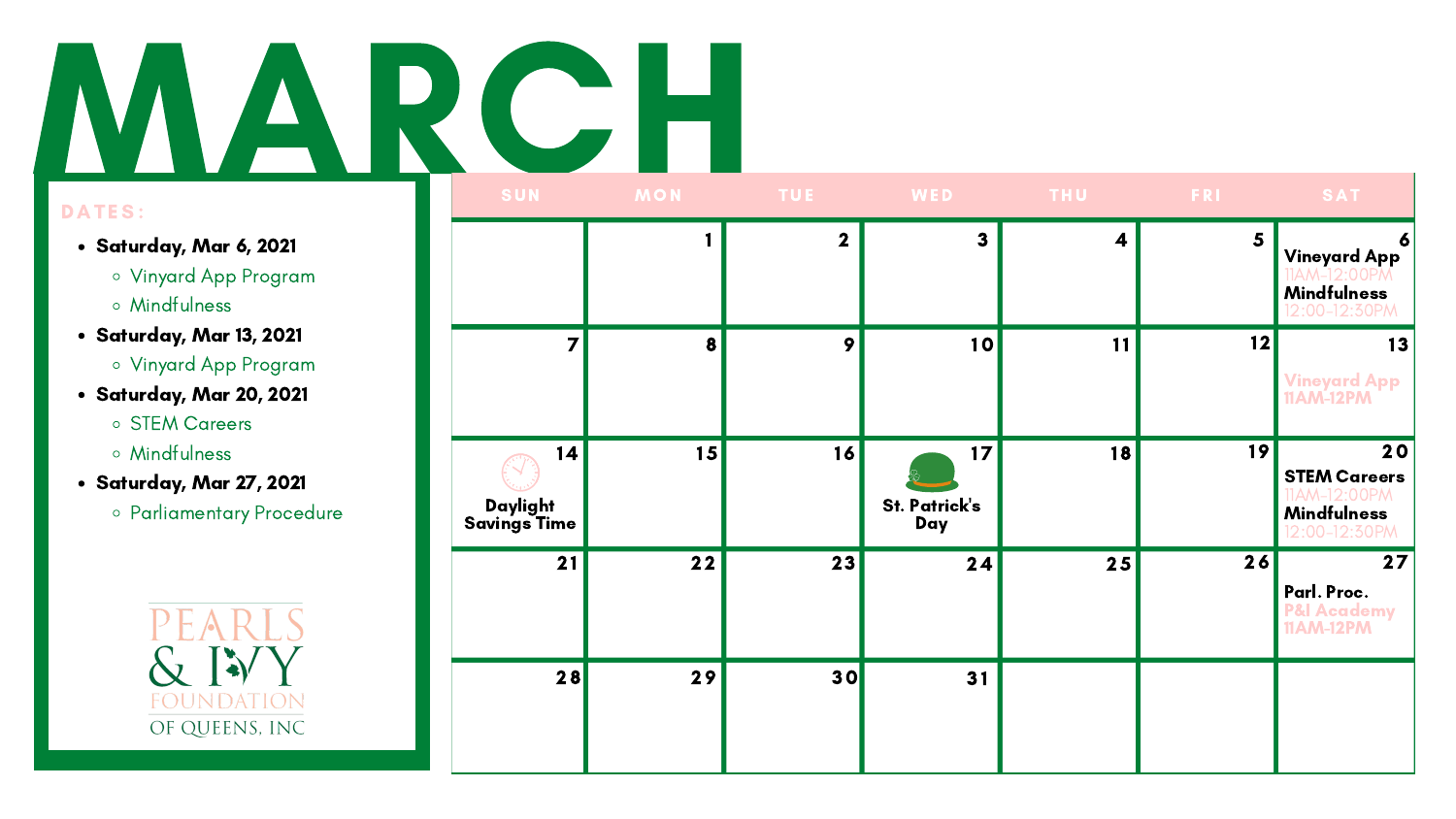# MARCH

- Saturday, Mar 6, 2021
	- Vinyard App Program
	- Mindfulness
- Saturday, Mar 13, 2021
	- Vinyard App Program
- Saturday, Mar 20, 2021
	- STEM Careers
	- Mindfulness
- Saturday, Mar 27, 2021
	- Parliamentary Procedure



|                                | SUN MON TUE WED |                  |                                                |                  | <b>THU FRI</b>          | SAT                                                                           |
|--------------------------------|-----------------|------------------|------------------------------------------------|------------------|-------------------------|-------------------------------------------------------------------------------|
|                                |                 | $\boldsymbol{2}$ | $\mathbf{3}$                                   | $\boldsymbol{4}$ | $\overline{\mathbf{5}}$ | $\bullet$<br><b>Vineyard App</b><br><b>Mindfulness</b><br>12:00-12:30PM       |
|                                | 8               | $\boldsymbol{9}$ | 10                                             | 11               | 12                      | 13<br><b>Vineyard App</b><br><b>11AM-12PM</b>                                 |
| 4 <br>Daylight<br>Savings Time | 15              | 16               | 17 <sup>2</sup><br><b>St. Patrick's</b><br>Day | 18               | 19                      | 20<br><b>STEM Careers</b><br>M-12:00PM<br><b>Mindfulness</b><br>12:00-12:30PM |
| 21                             | 22              | 23               | 24                                             | 25               | 26                      | 27<br>Parl. Proc.<br><b>P&amp;I Academy</b><br><b>11AM-12PM</b>               |
| 28                             | 29              | 30               | 31                                             |                  |                         |                                                                               |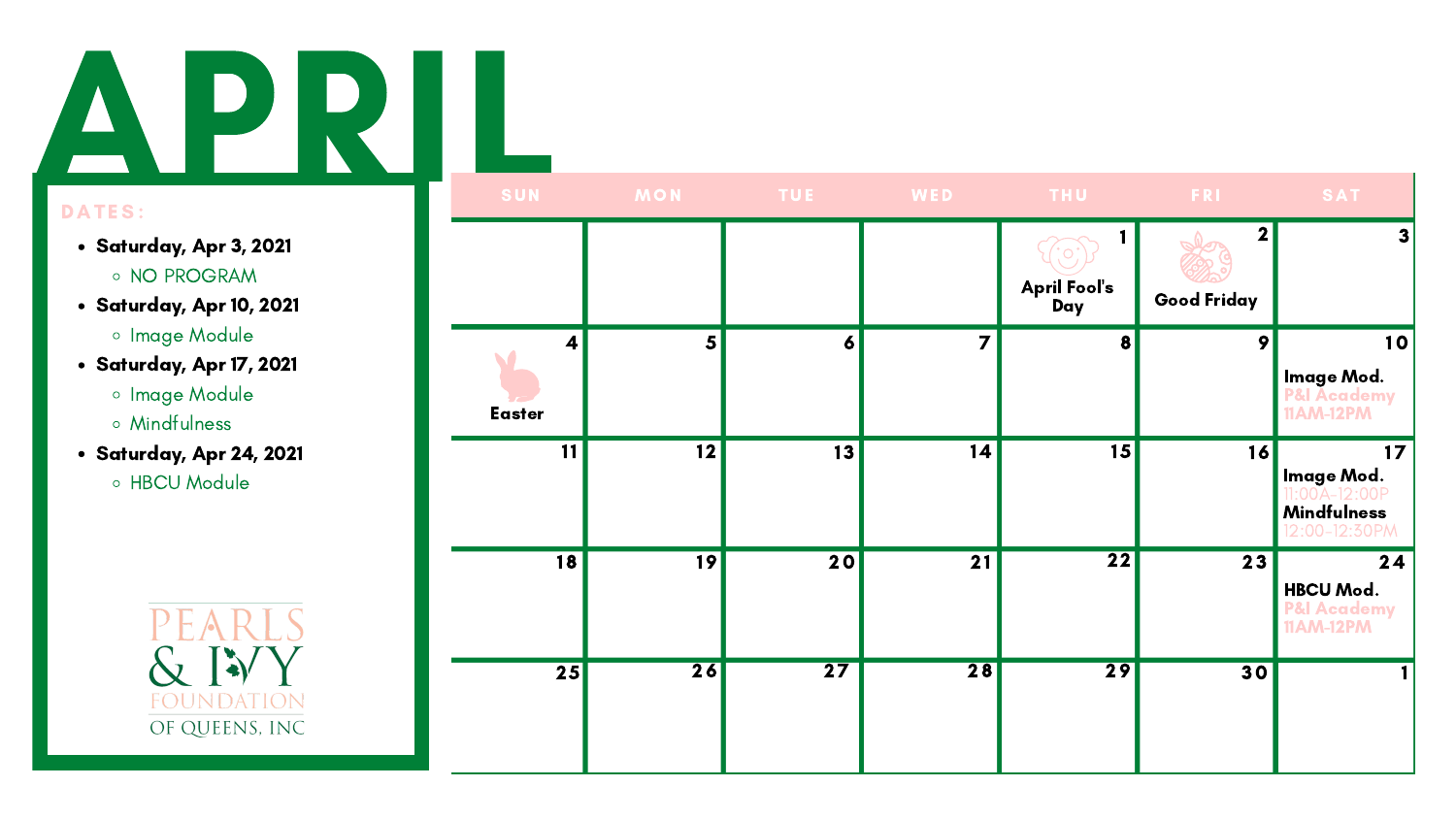### A P R I

| SUN                                      | <b>MON</b>      | <b>TUE</b>       | WED            | THU                        | <b>FRI</b>                                    | SAT                                                                                      |
|------------------------------------------|-----------------|------------------|----------------|----------------------------|-----------------------------------------------|------------------------------------------------------------------------------------------|
|                                          |                 |                  |                | <b>April Fool's</b><br>Day | $\overline{\mathbf{2}}$<br><b>Good Friday</b> | $\vert 3 \vert$                                                                          |
| $\overline{\mathbf{4}}$<br><b>Easter</b> | $\vert 5 \vert$ | $\boldsymbol{6}$ | $\overline{7}$ | 8                          | 9                                             | 10<br><b>Image Mod.</b><br>P&I Academy<br><b>11AM-12PM</b>                               |
| 11                                       | 12              | 13               | 4              | 15                         | 16                                            | 17 <sup>17</sup><br>Image Mod.<br>$11.00A-12.00F$<br><b>Mindfulness</b><br>12:00-12:30PM |
| 18                                       | 19              | 20               | 21             | $\overline{22}$            | 23                                            | 24<br><b>HBCU Mod.</b><br>P&I Academy<br><b>11AM-12PM</b>                                |
| $\overline{25}$                          | 26              | $\overline{27}$  | 28             | 29                         | 30                                            |                                                                                          |

- Saturday, Apr 3, 2021
	- NO PROGRAM
- Saturday, Apr 10, 2021
	- **o** Image Module
- Saturday, Apr 17, 2021
	- **o** Image Module
	- Mindfulness
- Saturday, Apr 24, 2021
	- H B C U M o d ule

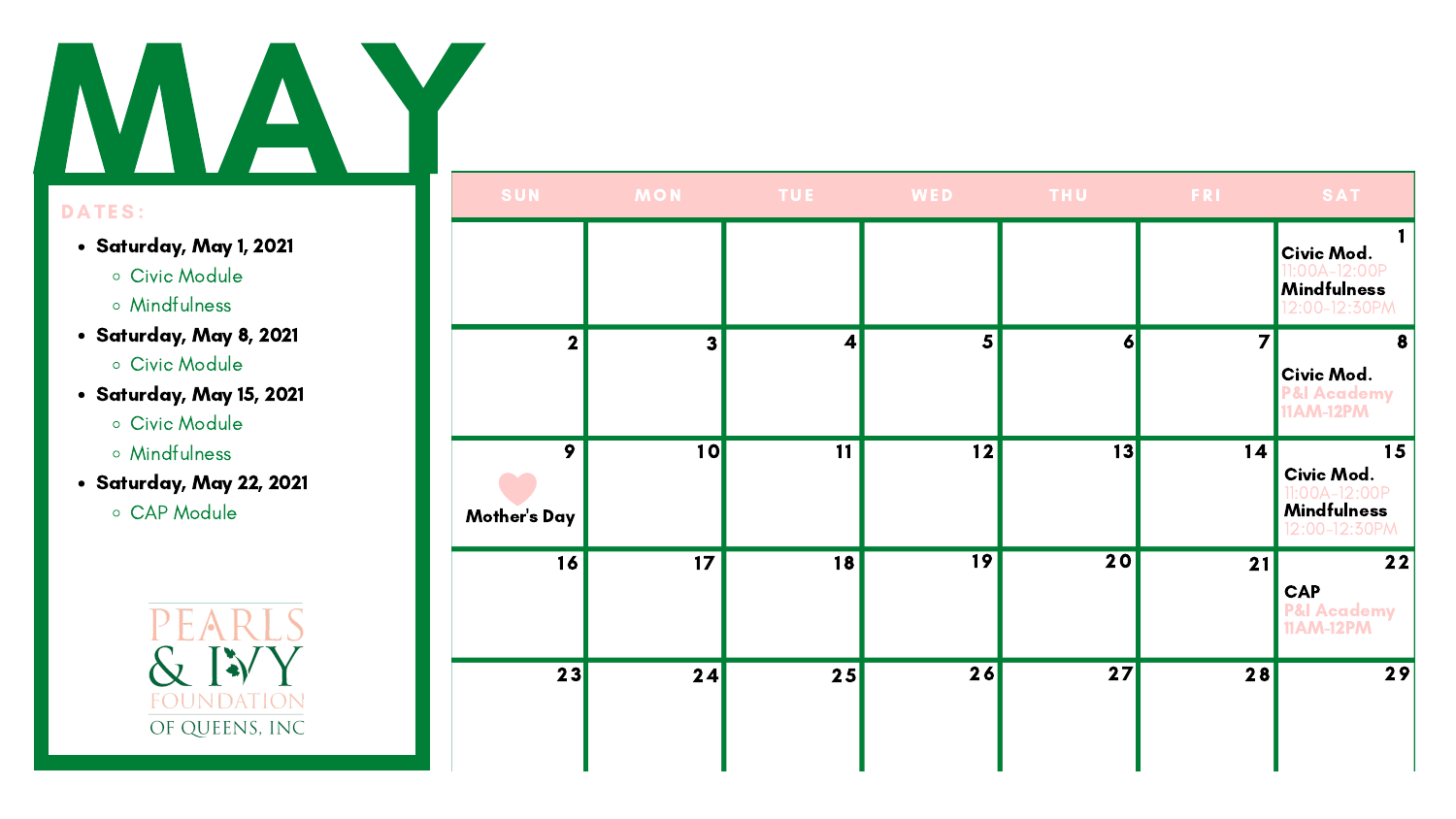# MAN

|                          | SUN MON TUE WED THU FRI |                          |                 |                 |    | SAT                                                                     |  |
|--------------------------|-------------------------|--------------------------|-----------------|-----------------|----|-------------------------------------------------------------------------|--|
|                          |                         |                          |                 |                 |    | Civic Mod.<br>:00A-12:00P<br>Mindfulness<br>12:00-12:30PM               |  |
| $\overline{\mathbf{2}}$  | 3 <sup>1</sup>          | $\vert \mathbf{A} \vert$ | $\vert 5 \vert$ | $\vert$ 6       | 7  | 8<br>Civic Mod.<br><b>P&amp;I Academy<br/>11AM-12PM</b>                 |  |
| 9<br><b>Mother's Day</b> | 10                      | 11                       | 12              | 13              | 14 | 15<br>Civic Mod.<br>1:00A-12:00P<br><b>Mindfulness</b><br>12:00-12:30PM |  |
| 16                       | 17                      | 18                       | 19              | $\overline{20}$ | 21 | $22$<br><b>CAP</b><br><b>P&amp;I Academy</b><br>11AM-12PM               |  |
| 23                       | 24                      | 25                       | 26              | 27              | 28 | 29                                                                      |  |

- Saturday, May 1, 2021
	- Civic Module
	- Mindfulness
- Saturday, May 8, 2021
	- Civic Module
- Saturday, May 15, 2021
	- Civic Module
	- Mindfulness
- Saturday, May 22, 2021
	- C A P M o d ule